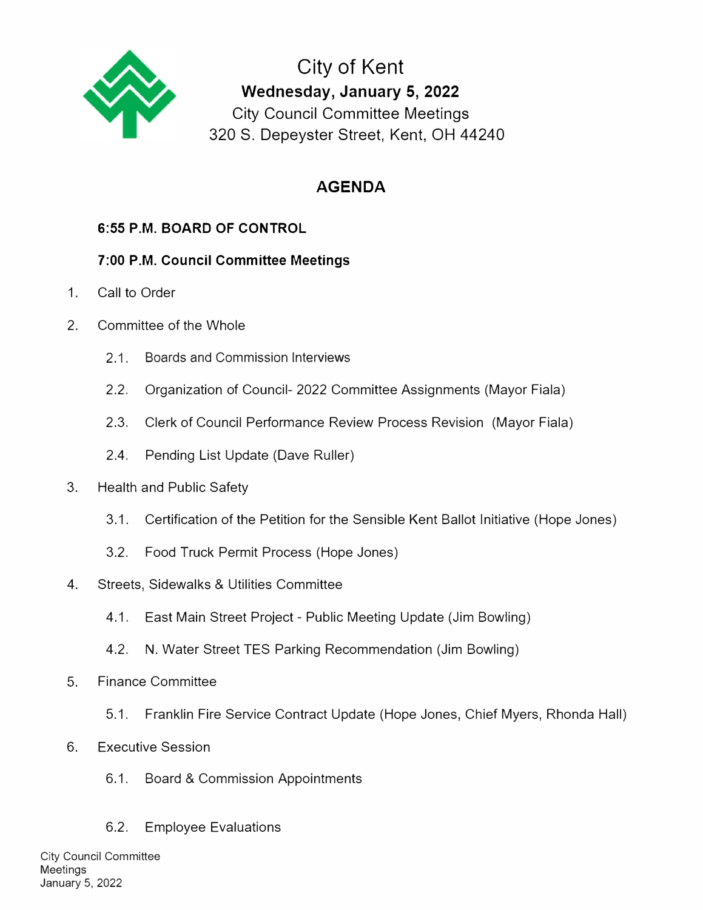

**City of Kent Wednesday, January 5, 2022**  City Council Committee Meetings 320 S. Depeyster Street, Kent, OH 44240

# **AGENDA**

## **6:55 P.M. BOARD OF CONTROL**

## **7:00 P.M. Council Committee Meetings**

- 1. Call to Order
- 2. Committee of the Whole
	- 2.1. Boards and Commission Interviews
	- 2.2. Organization of Council- 2022 Committee Assignments (Mayor Fiala)
	- 2.3. Clerk of Council Performance Review Process Revision (Mayor Fiala)
	- 2.4. Pending List Update (Dave Ruller)
- 3. Health and Public Safety
	- 3.1. Certification of the Petition for the Sensible Kent Ballot Initiative (Hope Jones)
	- 3.2. Food Truck Permit Process (Hope Jones)
- 4. Streets, Sidewalks & Utilities Committee
	- 4.1. East Main Street Project Public Meeting Update (Jim Bowling)
	- 4.2. N. Water Street TES Parking Recommendation (Jim Bowling)
- 5. Finance Committee
	- 5.1. Franklin Fire Service Contract Update (Hope Jones, Chief Myers, Rhonda Hall)
- 6. Executive Session
	- 6.1. Board & Commission Appointments
	- 6.2. Employee Evaluations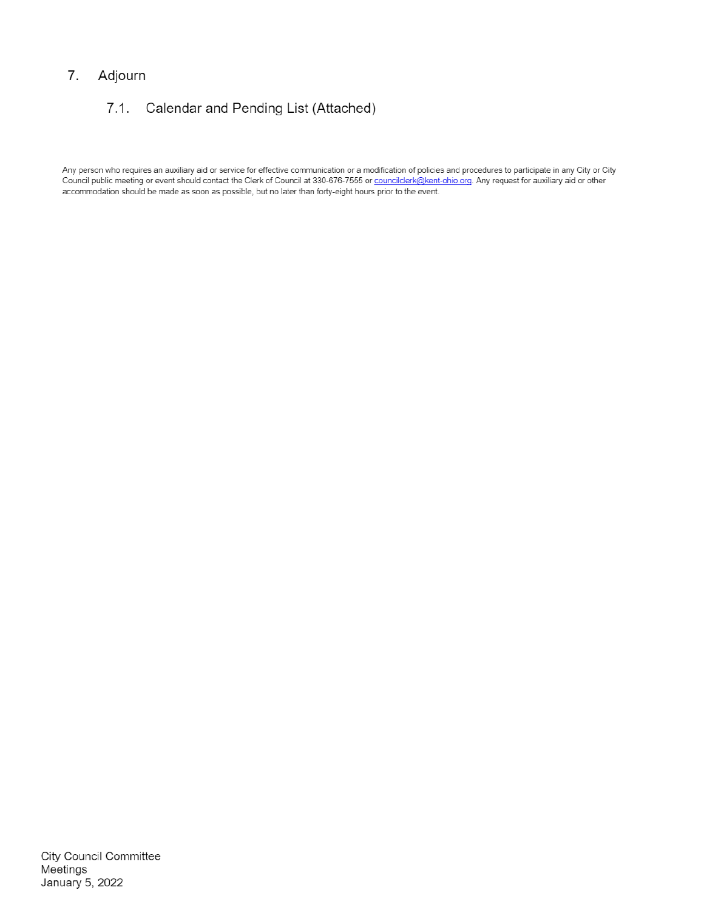#### Adjourn 7.

#### $7.1.$ Calendar and Pending List (Attached)

Any person who requires an auxiliary aid or service for effective communication or a modification of policies and procedures to participate in any City or City Council public meeting or event should contact the Clerk of Council at 330-676-7555 or councilclerk@kent-ohio.org. Any request for auxiliary aid or other accommodation should be made as soon as possible, but no later than forty-eight hours prior to the event.